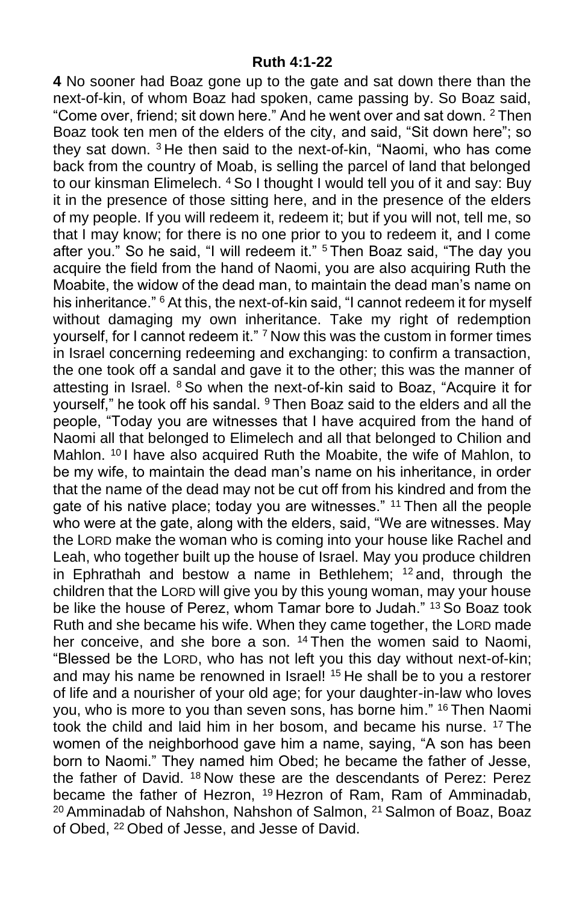**4** No sooner had Boaz gone up to the gate and sat down there than the next-of-kin, of whom Boaz had spoken, came passing by. So Boaz said, "Come over, friend; sit down here." And he went over and sat down. <sup>2</sup> Then Boaz took ten men of the elders of the city, and said, "Sit down here"; so they sat down. <sup>3</sup> He then said to the next-of-kin, "Naomi, who has come back from the country of Moab, is selling the parcel of land that belonged to our kinsman Elimelech. <sup>4</sup> So I thought I would tell you of it and say: Buy it in the presence of those sitting here, and in the presence of the elders of my people. If you will redeem it, redeem it; but if you will not, tell me, so that I may know; for there is no one prior to you to redeem it, and I come after you." So he said, "I will redeem it." <sup>5</sup> Then Boaz said, "The day you acquire the field from the hand of Naomi, you are also acquiring Ruth the Moabite, the widow of the dead man, to maintain the dead man's name on his inheritance." <sup>6</sup> At this, the next-of-kin said, "I cannot redeem it for myself without damaging my own inheritance. Take my right of redemption yourself, for I cannot redeem it." <sup>7</sup> Now this was the custom in former times in Israel concerning redeeming and exchanging: to confirm a transaction, the one took off a sandal and gave it to the other; this was the manner of attesting in Israel. <sup>8</sup> So when the next-of-kin said to Boaz, "Acquire it for yourself," he took off his sandal. <sup>9</sup> Then Boaz said to the elders and all the people, "Today you are witnesses that I have acquired from the hand of Naomi all that belonged to Elimelech and all that belonged to Chilion and Mahlon. <sup>10</sup> I have also acquired Ruth the Moabite, the wife of Mahlon, to be my wife, to maintain the dead man's name on his inheritance, in order that the name of the dead may not be cut off from his kindred and from the gate of his native place; today you are witnesses." <sup>11</sup> Then all the people who were at the gate, along with the elders, said, "We are witnesses. May the LORD make the woman who is coming into your house like Rachel and Leah, who together built up the house of Israel. May you produce children in Ephrathah and bestow a name in Bethlehem;  $12$  and, through the children that the LORD will give you by this young woman, may your house be like the house of Perez, whom Tamar bore to Judah." <sup>13</sup> So Boaz took Ruth and she became his wife. When they came together, the LORD made her conceive, and she bore a son. <sup>14</sup> Then the women said to Naomi, "Blessed be the LORD, who has not left you this day without next-of-kin; and may his name be renowned in Israel! <sup>15</sup> He shall be to you a restorer of life and a nourisher of your old age; for your daughter-in-law who loves you, who is more to you than seven sons, has borne him." <sup>16</sup> Then Naomi took the child and laid him in her bosom, and became his nurse. <sup>17</sup> The women of the neighborhood gave him a name, saying, "A son has been born to Naomi." They named him Obed; he became the father of Jesse, the father of David. <sup>18</sup> Now these are the descendants of Perez: Perez became the father of Hezron, <sup>19</sup> Hezron of Ram, Ram of Amminadab, <sup>20</sup> Amminadab of Nahshon, Nahshon of Salmon, <sup>21</sup> Salmon of Boaz, Boaz of Obed, <sup>22</sup> Obed of Jesse, and Jesse of David.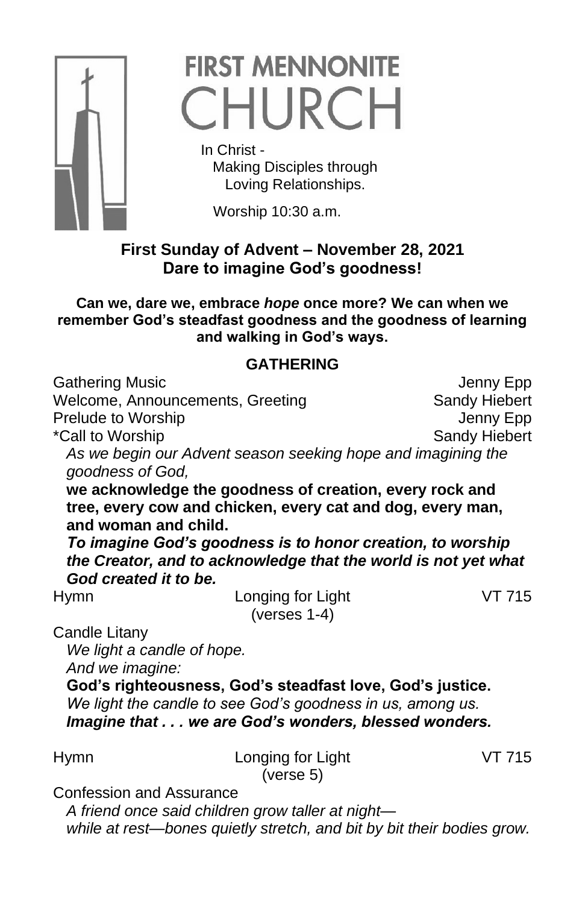

## **FIRST MENNONITE** CHURCH

 In Christ - Making Disciples through Loving Relationships.

Worship 10:30 a.m.

## **First Sunday of Advent – November 28, 2021 Dare to imagine God's goodness!**

**Can we, dare we, embrace** *hope* **once more? We can when we remember God's steadfast goodness and the goodness of learning and walking in God's ways.**

## **GATHERING**

| <b>Gathering Music</b>                   |                                                                                                                                                                                       | Jenny Epp     |
|------------------------------------------|---------------------------------------------------------------------------------------------------------------------------------------------------------------------------------------|---------------|
| Welcome, Announcements, Greeting         |                                                                                                                                                                                       | Sandy Hiebert |
| Prelude to Worship                       |                                                                                                                                                                                       | Jenny Epp     |
| *Call to Worship                         |                                                                                                                                                                                       | Sandy Hiebert |
| goodness of God,<br>and woman and child. | As we begin our Advent season seeking hope and imagining the<br>we acknowledge the goodness of creation, every rock and<br>tree, every cow and chicken, every cat and dog, every man, |               |
| God created it to be.                    | To imagine God's goodness is to honor creation, to worship<br>the Creator, and to acknowledge that the world is not yet what                                                          |               |
| <b>Hymn</b>                              | Longing for Light                                                                                                                                                                     | VT 715        |
|                                          | (verses $1-4$ )                                                                                                                                                                       |               |
| Candle Litany                            |                                                                                                                                                                                       |               |
| We light a candle of hope.               |                                                                                                                                                                                       |               |
| And we imagine:                          |                                                                                                                                                                                       |               |
|                                          | God's righteousness, God's steadfast love, God's justice.<br>We light the candle to see God's goodness in us, among us.<br>Imagine that we are God's wonders, blessed wonders.        |               |
| Hymn                                     | Longing for Light<br>(verse 5)                                                                                                                                                        | VT 715        |
| <b>Confession and Assurance</b>          | المطابعة والمستحلف والمسابق والمستحدث<br>.                                                                                                                                            |               |

*A friend once said children grow taller at night while at rest—bones quietly stretch, and bit by bit their bodies grow.*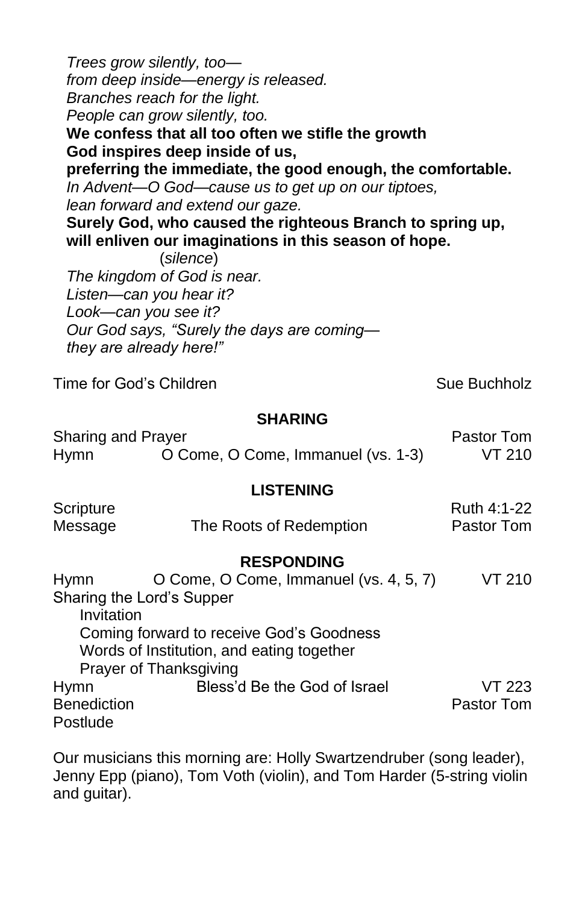*Trees grow silently, too from deep inside—energy is released. Branches reach for the light. People can grow silently, too.* **We confess that all too often we stifle the growth God inspires deep inside of us, preferring the immediate, the good enough, the comfortable.** *In Advent—O God—cause us to get up on our tiptoes, lean forward and extend our gaze.* **Surely God, who caused the righteous Branch to spring up, will enliven our imaginations in this season of hope.** (*silence*) *The kingdom of God is near. Listen—can you hear it? Look—can you see it? Our God says, "Surely the days are coming they are already here!"* Time for God's Children Sue Buchholz **SHARING** Sharing and Prayer **Pastor Tom** Hymn O Come, O Come, Immanuel (vs. 1-3) VT 210 **LISTENING** Scripture Ruth 4:1-22 Message The Roots of Redemption Pastor Tom **RESPONDING** Hymn O Come, O Come, Immanuel (vs. 4, 5, 7) VT 210 Sharing the Lord's Supper Invitation Coming forward to receive God's Goodness Words of Institution, and eating together Prayer of Thanksgiving Hymn Bless'd Be the God of Israel VT 223 Benediction **Pastor Tommunics Pastor Tommunics Pastor Tommunics Postlude** 

Our musicians this morning are: Holly Swartzendruber (song leader), Jenny Epp (piano), Tom Voth (violin), and Tom Harder (5-string violin and guitar).